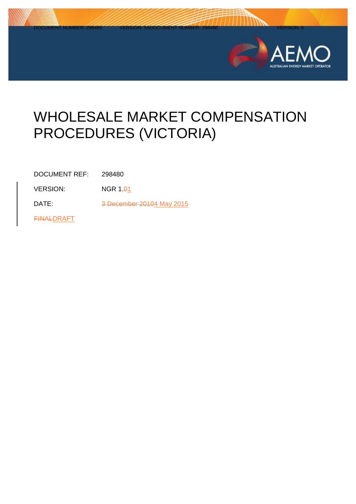

# WHOLESALE MARKET COMPENSATION PROCEDURES (VICTORIA)

DOCUMENT REF: 298480

 $VERSION: NGR 1.01$ 

DATE: 3 December 20104 May 2015

**FINALDRAFT**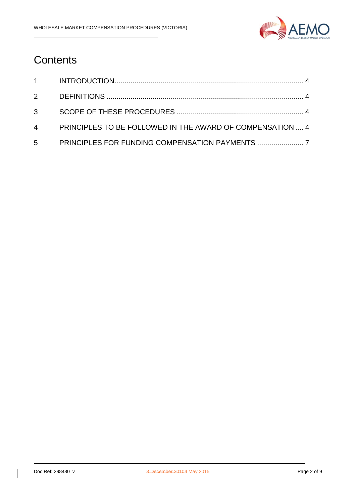

### **Contents**

| 4 PRINCIPLES TO BE FOLLOWED IN THE AWARD OF COMPENSATION  4 |  |
|-------------------------------------------------------------|--|
| 5 PRINCIPLES FOR FUNDING COMPENSATION PAYMENTS              |  |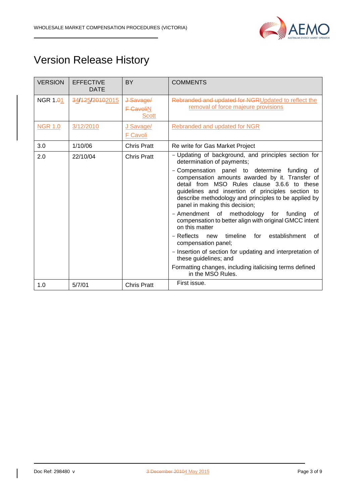

## Version Release History

| <b>VERSION</b> | <b>EFFECTIVE</b><br><b>DATE</b> | <b>BY</b>                              | <b>COMMENTS</b>                                                                                                                                                                                                                                                                                                                                                                                                                                                                                                       |
|----------------|---------------------------------|----------------------------------------|-----------------------------------------------------------------------------------------------------------------------------------------------------------------------------------------------------------------------------------------------------------------------------------------------------------------------------------------------------------------------------------------------------------------------------------------------------------------------------------------------------------------------|
| NGR $1.01$     | 34/125/20102015                 | J Savage/<br><b>F-CavoliN</b><br>Scott | Rebranded and updated for NGRUpdated to reflect the<br>removal of force majeure provisions                                                                                                                                                                                                                                                                                                                                                                                                                            |
| <b>NGR 1.0</b> | 3/12/2010                       | J Savage/<br>F Cavoli                  | <b>Rebranded and updated for NGR</b>                                                                                                                                                                                                                                                                                                                                                                                                                                                                                  |
| 3.0            | 1/10/06                         | <b>Chris Pratt</b>                     | Re write for Gas Market Project                                                                                                                                                                                                                                                                                                                                                                                                                                                                                       |
| 2.0            | 22/10/04                        | <b>Chris Pratt</b>                     | - Updating of background, and principles section for<br>determination of payments;<br>- Compensation panel to determine funding<br>0f<br>compensation amounts awarded by it. Transfer of<br>detail from MSO Rules clause 3.6.6 to these<br>guidelines and insertion of principles section to<br>describe methodology and principles to be applied by<br>panel in making this decision;<br>- Amendment of methodology for<br>funding<br>οf<br>compensation to better align with original GMCC intent<br>on this matter |
|                |                                 |                                        | timeline<br>establishment<br>- Reflects<br>for<br>new<br>οf<br>compensation panel;<br>- Insertion of section for updating and interpretation of<br>these guidelines; and                                                                                                                                                                                                                                                                                                                                              |
|                |                                 |                                        | Formatting changes, including italicising terms defined<br>in the MSO Rules.                                                                                                                                                                                                                                                                                                                                                                                                                                          |
| 1.0            | 5/7/01                          | <b>Chris Pratt</b>                     | First issue.                                                                                                                                                                                                                                                                                                                                                                                                                                                                                                          |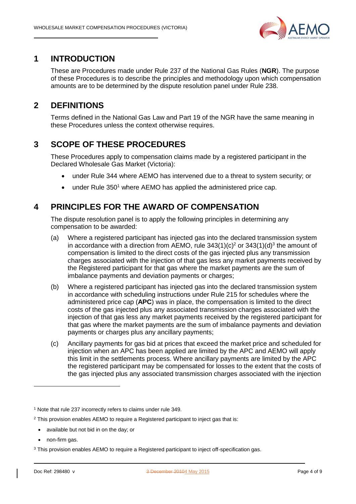

#### <span id="page-3-0"></span>**1 INTRODUCTION**

These are Procedures made under Rule 237 of the National Gas Rules (**NGR**). The purpose of these Procedures is to describe the principles and methodology upon which compensation amounts are to be determined by the dispute resolution panel under Rule 238.

### <span id="page-3-1"></span>**2 DEFINITIONS**

Terms defined in the National Gas Law and Part 19 of the NGR have the same meaning in these Procedures unless the context otherwise requires.

#### <span id="page-3-2"></span>**3 SCOPE OF THESE PROCEDURES**

These Procedures apply to compensation claims made by a registered participant in the Declared Wholesale Gas Market (Victoria):

- under Rule 344 where AEMO has intervened due to a threat to system security; or
- $\bullet$  under Rule 350<sup>1</sup> where AEMO has applied the administered price cap.

#### <span id="page-3-3"></span>**4 PRINCIPLES FOR THE AWARD OF COMPENSATION**

The dispute resolution panel is to apply the following principles in determining any compensation to be awarded:

- (a) Where a registered participant has injected gas into the declared transmission system in accordance with a direction from AEMO, rule  $343(1)(c)^2$  or  $343(1)(d)^3$  the amount of compensation is limited to the direct costs of the gas injected plus any transmission charges associated with the injection of that gas less any market payments received by the Registered participant for that gas where the market payments are the sum of imbalance payments and deviation payments or charges;
- (b) Where a registered participant has injected gas into the declared transmission system in accordance with scheduling instructions under Rule 215 for schedules where the administered price cap (**APC**) was in place, the compensation is limited to the direct costs of the gas injected plus any associated transmission charges associated with the injection of that gas less any market payments received by the registered participant for that gas where the market payments are the sum of imbalance payments and deviation payments or charges plus any ancillary payments;
- (c) Ancillary payments for gas bid at prices that exceed the market price and scheduled for injection when an APC has been applied are limited by the APC and AEMO will apply this limit in the settlements process. Where ancillary payments are limited by the APC the registered participant may be compensated for losses to the extent that the costs of the gas injected plus any associated transmission charges associated with the injection

- available but not bid in on the day; or
- non-firm gas.

-

<sup>1</sup> Note that rule 237 incorrectly refers to claims under rule 349.

<sup>&</sup>lt;sup>2</sup> This provision enables AEMO to require a Registered participant to inject gas that is:

<sup>&</sup>lt;sup>3</sup> This provision enables AEMO to require a Registered participant to inject off-specification gas.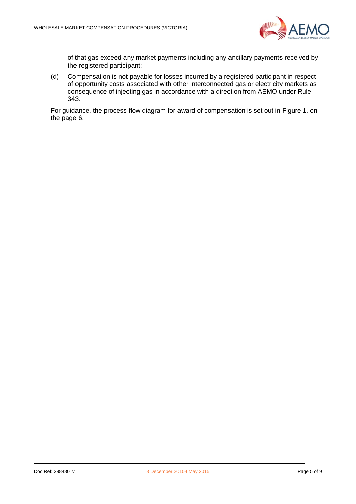

of that gas exceed any market payments including any ancillary payments received by the registered participant;

(d) Compensation is not payable for losses incurred by a registered participant in respect of opportunity costs associated with other interconnected gas or electricity markets as consequence of injecting gas in accordance with a direction from AEMO under Rule 343.

For guidance, the process flow diagram for award of compensation is set out in Figure 1. on the page 6.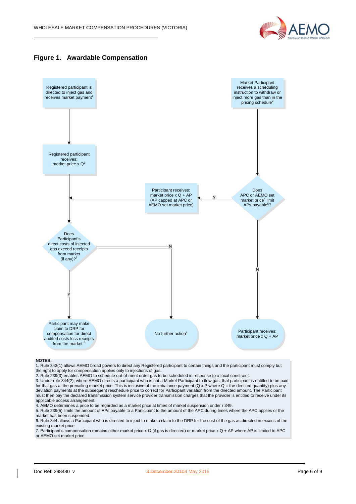





#### **NOTES:**

1. Rule 343(1) allows AEMO broad powers to direct any Registered participant to certain things and the participant must comply but the right to apply for compensation applies only to injections of gas.

2. Rule 239(3) enables AEMO to schedule out-of-merit order gas to be scheduled in response to a local constraint.

3. Under rule 344(2), where AEMO directs a participant who is not a Market Participant to flow gas, that participant is entitled to be paid for that gas at the prevailing market price. This is inclusive of the imbalance payment ( $Q \times P$  where  $Q =$  the directed quantity) plus any deviation payments at the subsequent reschedule price to correct for Participant variation from the directed amount. The Participant must then pay the declared transmission system service provider transmission charges that the provider is entitled to receive under its applicable access arrangement.

4. AEMO determines a price to be regarded as a market price at times of market suspension under r 349.

5. Rule 239(5) limits the amount of APs payable to a Participant to the amount of the APC during times where the APC applies or the market has been suspended.

6. Rule 344 allows a Participant who is directed to inject to make a claim to the DRP for the cost of the gas as directed in excess of the existing market price

7. Participant's compensation remains either market price x Q (if gas is directed) or market price x Q + AP where AP is limited to APC or AEMO set market price.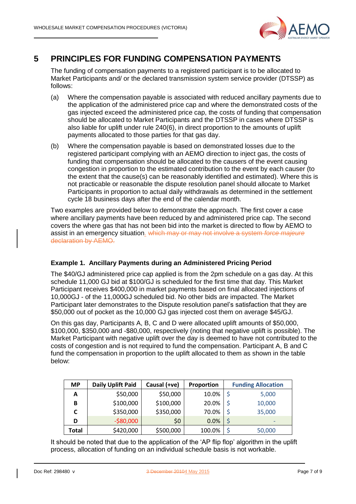

#### <span id="page-6-0"></span>**5 PRINCIPLES FOR FUNDING COMPENSATION PAYMENTS**

The funding of compensation payments to a registered participant is to be allocated to Market Participants and/ or the declared transmission system service provider (DTSSP) as follows:

- (a) Where the compensation payable is associated with reduced ancillary payments due to the application of the administered price cap and where the demonstrated costs of the gas injected exceed the administered price cap, the costs of funding that compensation should be allocated to Market Participants and the DTSSP in cases where DTSSP is also liable for uplift under rule 240(6), in direct proportion to the amounts of uplift payments allocated to those parties for that gas day.
- (b) Where the compensation payable is based on demonstrated losses due to the registered participant complying with an AEMO direction to inject gas, the costs of funding that compensation should be allocated to the causers of the event causing congestion in proportion to the estimated contribution to the event by each causer (to the extent that the cause(s) can be reasonably identified and estimated). Where this is not practicable or reasonable the dispute resolution panel should allocate to Market Participants in proportion to actual daily withdrawals as determined in the settlement cycle 18 business days after the end of the calendar month.

Two examples are provided below to demonstrate the approach. The first cover a case where ancillary payments have been reduced by and administered price cap. The second covers the where gas that has not been bid into the market is directed to flow by AEMO to assist in an emergency situation. which may or may not involve a system *force majeure* declaration by AEMO.

#### **Example 1. Ancillary Payments during an Administered Pricing Period**

The \$40/GJ administered price cap applied is from the 2pm schedule on a gas day. At this schedule 11,000 GJ bid at \$100/GJ is scheduled for the first time that day. This Market Participant receives \$400,000 in market payments based on final allocated injections of 10,000GJ - of the 11,000GJ scheduled bid. No other bids are impacted. The Market Participant later demonstrates to the Dispute resolution panel's satisfaction that they are \$50,000 out of pocket as the 10,000 GJ gas injected cost them on average \$45/GJ.

On this gas day, Participants A, B, C and D were allocated uplift amounts of \$50,000, \$100,000, \$350,000 and -\$80,000, respectively (noting that negative uplift is possible). The Market Participant with negative uplift over the day is deemed to have not contributed to the costs of congestion and is not required to fund the compensation. Participant A, B and C fund the compensation in proportion to the uplift allocated to them as shown in the table below:

| <b>MP</b> | <b>Daily Uplift Paid</b> | Causal (+ve) | Proportion | <b>Funding Allocation</b> |                          |  |
|-----------|--------------------------|--------------|------------|---------------------------|--------------------------|--|
| A         | \$50,000                 | \$50,000     | 10.0%      |                           | 5,000                    |  |
| B         | \$100,000                | \$100,000    | 20.0%      |                           | 10,000                   |  |
| С         | \$350,000                | \$350,000    | 70.0%      |                           | 35,000                   |  |
| D         | $-$80,000$               | \$0          | 0.0%       |                           | $\overline{\phantom{0}}$ |  |
| Total     | \$420,000                | \$500,000    | 100.0%     |                           | 50,000                   |  |

It should be noted that due to the application of the 'AP flip flop' algorithm in the uplift process, allocation of funding on an individual schedule basis is not workable.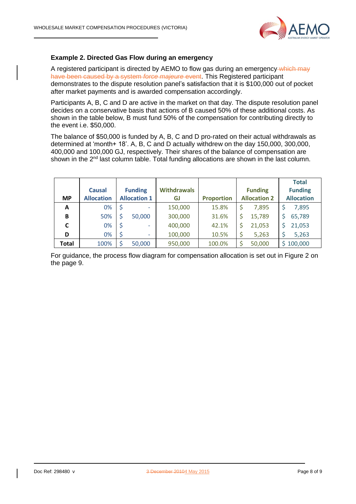

#### **Example 2. Directed Gas Flow during an emergency**

A registered participant is directed by AEMO to flow gas during an emergency which may have been caused by a system *force majeure* event. This Registered participant demonstrates to the dispute resolution panel's satisfaction that it is \$100,000 out of pocket after market payments and is awarded compensation accordingly.

Participants A, B, C and D are active in the market on that day. The dispute resolution panel decides on a conservative basis that actions of B caused 50% of these additional costs. As shown in the table below, B must fund 50% of the compensation for contributing directly to the event i.e. \$50,000.

The balance of \$50,000 is funded by A, B, C and D pro-rated on their actual withdrawals as determined at 'month+ 18'. A, B, C and D actually withdrew on the day 150,000, 300,000, 400,000 and 100,000 GJ, respectively. Their shares of the balance of compensation are shown in the 2<sup>nd</sup> last column table. Total funding allocations are shown in the last column.

|           |                   |                     |        |                    |                   |                     |        |                   | <b>Total</b> |
|-----------|-------------------|---------------------|--------|--------------------|-------------------|---------------------|--------|-------------------|--------------|
|           | <b>Causal</b>     | <b>Funding</b>      |        | <b>Withdrawals</b> |                   | <b>Funding</b>      |        | <b>Funding</b>    |              |
| <b>MP</b> | <b>Allocation</b> | <b>Allocation 1</b> |        | GJ                 | <b>Proportion</b> | <b>Allocation 2</b> |        | <b>Allocation</b> |              |
| A         | 0%                |                     | ٠      | 150,000            | 15.8%             | \$                  | 7,895  |                   | 7,895        |
| B         | 50%               |                     | 50,000 | 300,000            | 31.6%             | \$                  | 15,789 |                   | 65,789       |
| C         | 0%                |                     | ٠      | 400,000            | 42.1%             | \$                  | 21,053 |                   | 21,053       |
| D         | 0%                |                     | ٠      | 100,000            | 10.5%             | \$                  | 5,263  |                   | 5,263        |
| Total     | 100%              |                     | 50,000 | 950,000            | 100.0%            |                     | 50,000 |                   | \$100,000    |

For guidance, the process flow diagram for compensation allocation is set out in Figure 2 on the page 9.